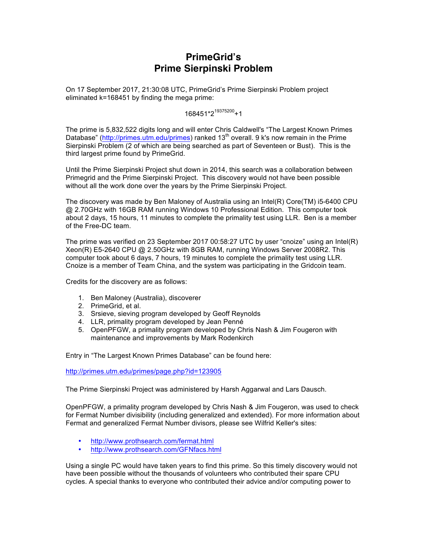# **PrimeGrid's Prime Sierpinski Problem**

On 17 September 2017, 21:30:08 UTC, PrimeGrid's Prime Sierpinski Problem project eliminated k=168451 by finding the mega prime:

168451\*2<sup>19375200</sup>+1

The prime is 5,832,522 digits long and will enter Chris Caldwell's "The Largest Known Primes Database" (http://primes.utm.edu/primes) ranked 13<sup>th</sup> overall. 9 k's now remain in the Prime Sierpinski Problem (2 of which are being searched as part of Seventeen or Bust). This is the third largest prime found by PrimeGrid.

Until the Prime Sierpinski Project shut down in 2014, this search was a collaboration between Primegrid and the Prime Sierpinski Project. This discovery would not have been possible without all the work done over the years by the Prime Sierpinski Project.

The discovery was made by Ben Maloney of Australia using an Intel(R) Core(TM) i5-6400 CPU @ 2.70GHz with 16GB RAM running Windows 10 Professional Edition. This computer took about 2 days, 15 hours, 11 minutes to complete the primality test using LLR. Ben is a member of the Free-DC team.

The prime was verified on 23 September 2017 00:58:27 UTC by user "cnoize" using an Intel(R) Xeon(R) E5-2640 CPU @ 2.50GHz with 8GB RAM, running Windows Server 2008R2. This computer took about 6 days, 7 hours, 19 minutes to complete the primality test using LLR. Cnoize is a member of Team China, and the system was participating in the Gridcoin team.

Credits for the discovery are as follows:

- 1. Ben Maloney (Australia), discoverer
- 2. PrimeGrid, et al.
- 3. Srsieve, sieving program developed by Geoff Reynolds
- 4. LLR, primality program developed by Jean Penné
- 5. OpenPFGW, a primality program developed by Chris Nash & Jim Fougeron with maintenance and improvements by Mark Rodenkirch

Entry in "The Largest Known Primes Database" can be found here:

http://primes.utm.edu/primes/page.php?id=123905

The Prime Sierpinski Project was administered by Harsh Aggarwal and Lars Dausch.

OpenPFGW, a primality program developed by Chris Nash & Jim Fougeron, was used to check for Fermat Number divisibility (including generalized and extended). For more information about Fermat and generalized Fermat Number divisors, please see Wilfrid Keller's sites:

- http://www.prothsearch.com/fermat.html
- http://www.prothsearch.com/GFNfacs.html

Using a single PC would have taken years to find this prime. So this timely discovery would not have been possible without the thousands of volunteers who contributed their spare CPU cycles. A special thanks to everyone who contributed their advice and/or computing power to